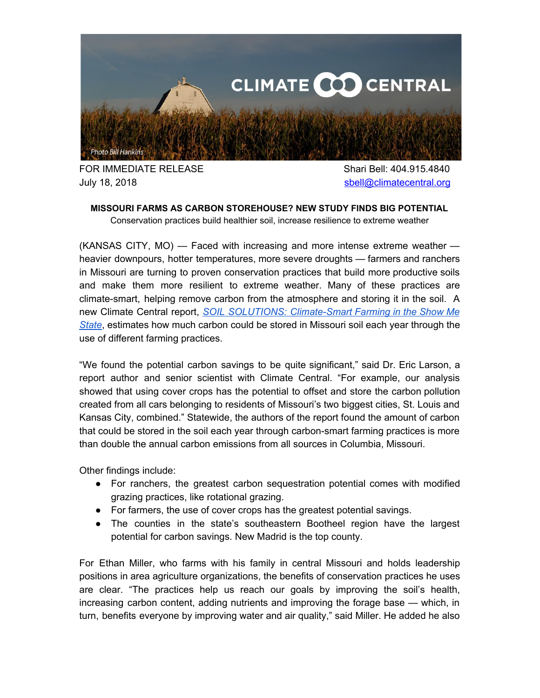

FOR IMMEDIATE RELEASE Shari Bell: 404.915.4840 July 18, 2018 [sbell@climatecentral.org](mailto:sbell@climatecentral.org)

## **MISSOURI FARMS AS CARBON STOREHOUSE? NEW STUDY FINDS BIG POTENTIAL** Conservation practices build healthier soil, increase resilience to extreme weather

(KANSAS CITY, MO) — Faced with increasing and more intense extreme weather heavier downpours, hotter temperatures, more severe droughts — farmers and ranchers in Missouri are turning to proven conservation practices that build more productive soils and make them more resilient to extreme weather. Many of these practices are climate-smart, helping remove carbon from the atmosphere and storing it in the soil. A new Climate Central report, *SOIL SOLUTIONS: [Climate-Smart](http://assets.climatecentral.org/pdfs/July2018_SoilSolutions_Missouri.pdf) Farming in the Show Me [State](http://assets.climatecentral.org/pdfs/July2018_SoilSolutions_Missouri.pdf)*, estimates how much carbon could be stored in Missouri soil each year through the use of different farming practices.

"We found the potential carbon savings to be quite significant," said Dr. Eric Larson, a report author and senior scientist with Climate Central. "For example, our analysis showed that using cover crops has the potential to offset and store the carbon pollution created from all cars belonging to residents of Missouri's two biggest cities, St. Louis and Kansas City, combined." Statewide, the authors of the report found the amount of carbon that could be stored in the soil each year through carbon-smart farming practices is more than double the annual carbon emissions from all sources in Columbia, Missouri.

Other findings include:

- For ranchers, the greatest carbon sequestration potential comes with modified grazing practices, like rotational grazing.
- For farmers, the use of cover crops has the greatest potential savings.
- The counties in the state's southeastern Bootheel region have the largest potential for carbon savings. New Madrid is the top county.

For Ethan Miller, who farms with his family in central Missouri and holds leadership positions in area agriculture organizations, the benefits of conservation practices he uses are clear. "The practices help us reach our goals by improving the soil's health, increasing carbon content, adding nutrients and improving the forage base — which, in turn, benefits everyone by improving water and air quality," said Miller. He added he also